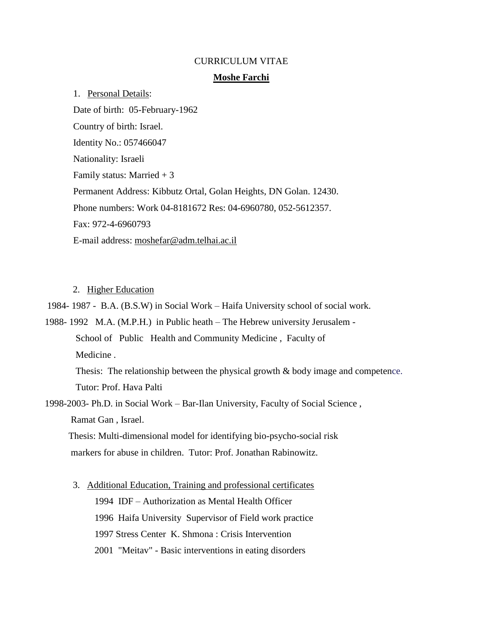#### CURRICULUM VITAE

#### **Moshe Farchi**

1. Personal Details: Date of birth: 05-February-1962 Country of birth: Israel. Identity No.: 057466047 Nationality: Israeli Family status: Married  $+3$ Permanent Address: Kibbutz Ortal, Golan Heights, DN Golan. 12430. Phone numbers: Work 04-8181672 Res: 04-6960780, 052-5612357. Fax: 972-4-6960793 E-mail address: [moshefar@adm.telhai.ac.il](mailto:moshefar@adm.telhai.ac.il)

### 2. Higher Education

1984- 1987 - B.A. (B.S.W) in Social Work – Haifa University school of social work.

1988- 1992 M.A. (M.P.H.) in Public heath – The Hebrew university Jerusalem - School of Public Health and Community Medicine , Faculty of Medicine .

 Thesis: The relationship between the physical growth & body image and competence. Tutor: Prof. Hava Palti

1998-2003- Ph.D. in Social Work – Bar-Ilan University, Faculty of Social Science , Ramat Gan , Israel.

 Thesis: Multi-dimensional model for identifying bio-psycho-social risk markers for abuse in children. Tutor: Prof. Jonathan Rabinowitz.

3. Additional Education, Training and professional certificates

1994 IDF – Authorization as Mental Health Officer 1996 Haifa University Supervisor of Field work practice 1997 Stress Center K. Shmona : Crisis Intervention 2001 "Meitav" - Basic interventions in eating disorders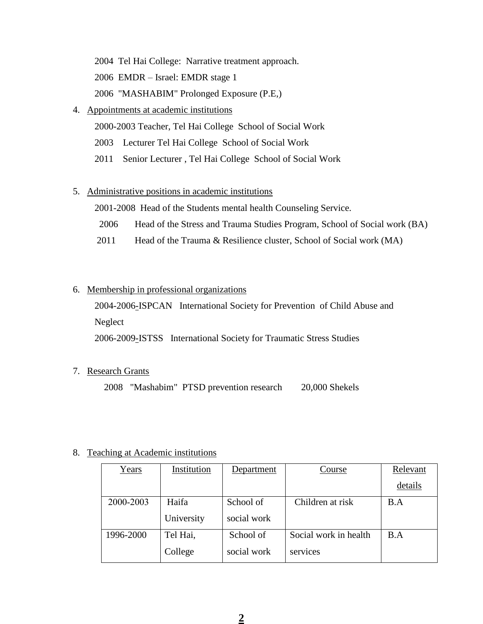2004 Tel Hai College: Narrative treatment approach.

2006 EMDR – Israel: EMDR stage 1

2006 "MASHABIM" Prolonged Exposure (P.E,)

## 4. Appointments at academic institutions

2000-2003 Teacher, Tel Hai College School of Social Work

- 2003 Lecturer Tel Hai College School of Social Work
- 2011 Senior Lecturer , Tel Hai College School of Social Work

## 5. Administrative positions in academic institutions

2001-2008 Head of the Students mental health Counseling Service.

- 2006 Head of the Stress and Trauma Studies Program, School of Social work (BA)
- 2011 Head of the Trauma & Resilience cluster, School of Social work (MA)

## 6. Membership in professional organizations

2004-2006-ISPCAN International Society for Prevention of Child Abuse and

Neglect

2006-2009-ISTSS International Society for Traumatic Stress Studies

## 7. Research Grants

2008 "Mashabim" PTSD prevention research 20,000 Shekels

## 8. Teaching at Academic institutions

| Years     | Institution | Department  | Course                | Relevant |
|-----------|-------------|-------------|-----------------------|----------|
|           |             |             |                       | details  |
| 2000-2003 | Haifa       | School of   | Children at risk      | B.A      |
|           | University  | social work |                       |          |
| 1996-2000 | Tel Hai,    | School of   | Social work in health | B.A      |
|           | College     | social work | services              |          |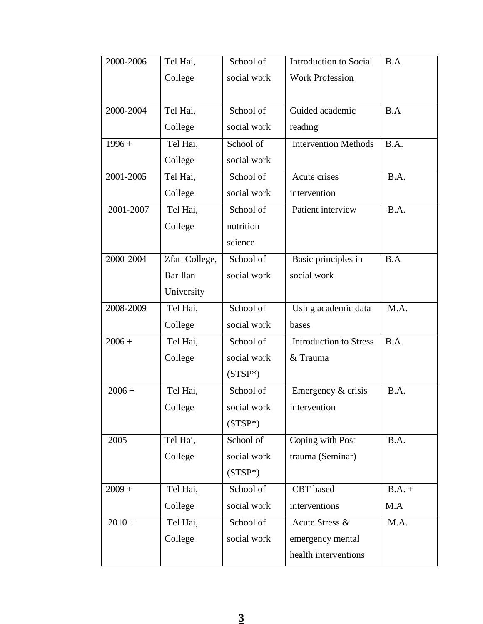| 2000-2006 | Tel Hai,      | School of   | Introduction to Social        | B.A      |
|-----------|---------------|-------------|-------------------------------|----------|
|           | College       | social work | <b>Work Profession</b>        |          |
|           |               |             |                               |          |
| 2000-2004 | Tel Hai,      | School of   | Guided academic               | B.A      |
|           | College       | social work | reading                       |          |
| $1996 +$  | Tel Hai,      | School of   | <b>Intervention Methods</b>   | B.A.     |
|           | College       | social work |                               |          |
| 2001-2005 | Tel Hai,      | School of   | Acute crises                  | B.A.     |
|           | College       | social work | intervention                  |          |
| 2001-2007 | Tel Hai,      | School of   | Patient interview             | B.A.     |
|           | College       | nutrition   |                               |          |
|           |               | science     |                               |          |
| 2000-2004 | Zfat College, | School of   | Basic principles in           | B.A      |
|           | Bar Ilan      | social work | social work                   |          |
|           | University    |             |                               |          |
| 2008-2009 | Tel Hai,      | School of   | Using academic data           | M.A.     |
|           | College       | social work | bases                         |          |
| $2006 +$  | Tel Hai,      | School of   | <b>Introduction to Stress</b> | B.A.     |
|           | College       | social work | & Trauma                      |          |
|           |               | $(STSP*)$   |                               |          |
| $2006 +$  | Tel Hai,      | School of   | Emergency & crisis            | B.A.     |
|           | College       | social work | intervention                  |          |
|           |               | $(STSP*)$   |                               |          |
| 2005      | Tel Hai,      | School of   | Coping with Post              | B.A.     |
|           | College       | social work | trauma (Seminar)              |          |
|           |               | $(STSP*)$   |                               |          |
| $2009 +$  | Tel Hai,      | School of   | CBT based                     | $B.A. +$ |
|           | College       | social work | interventions                 | M.A      |
| $2010 +$  | Tel Hai,      | School of   | Acute Stress &                | M.A.     |
|           | College       | social work | emergency mental              |          |
|           |               |             | health interventions          |          |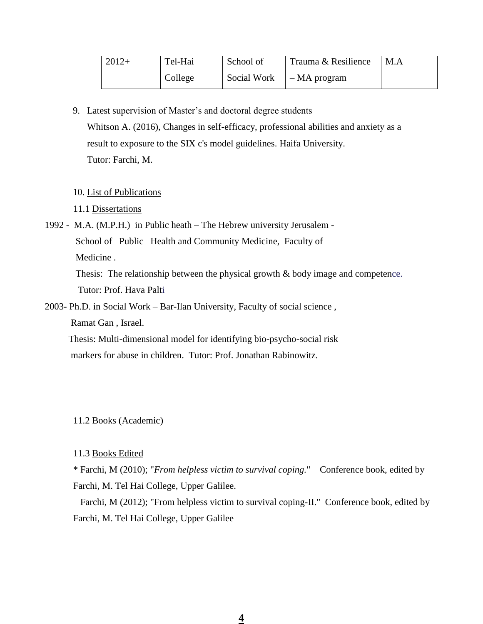| $2012+$ | Tel-Hai | School of   | Trauma & Resilience | M.A |
|---------|---------|-------------|---------------------|-----|
|         | College | Social Work | $-MA$ program       |     |

9. Latest supervision of Master's and doctoral degree students

Whitson A. (2016), Changes in self-efficacy, professional abilities and anxiety as a result to exposure to the SIX c's model guidelines. Haifa University. Tutor: Farchi, M.

10. List of Publications

11.1 Dissertations

1992 - M.A. (M.P.H.) in Public heath – The Hebrew university Jerusalem - School of Public Health and Community Medicine, Faculty of Medicine . Thesis: The relationship between the physical growth & body image and competence.

Tutor: Prof. Hava Palti

2003- Ph.D. in Social Work – Bar-Ilan University, Faculty of social science , Ramat Gan , Israel.

 Thesis: Multi-dimensional model for identifying bio-psycho-social risk markers for abuse in children. Tutor: Prof. Jonathan Rabinowitz.

11.2 Books (Academic)

11.3 Books Edited

\* Farchi, M (2010); "*From helpless victim to survival coping.*" Conference book, edited by Farchi, M. Tel Hai College, Upper Galilee.

 Farchi, M (2012); "From helpless victim to survival coping-II." Conference book, edited by Farchi, M. Tel Hai College, Upper Galilee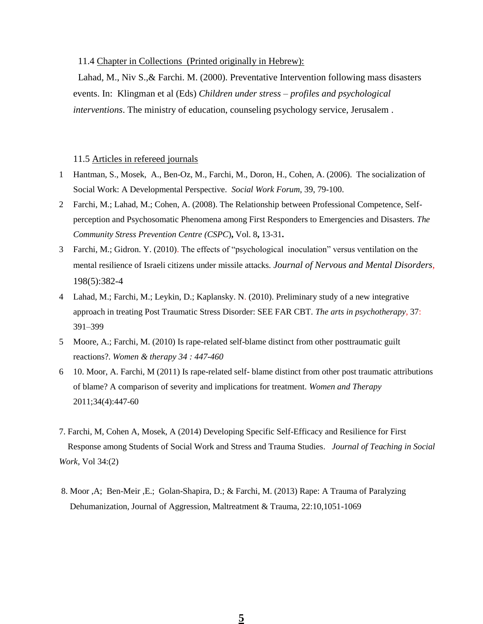11.4 Chapter in Collections (Printed originally in Hebrew):

Lahad, M., Niv S.,& Farchi. M. (2000). Preventative Intervention following mass disasters events. In: Klingman et al (Eds) *Children under stress – profiles and psychological interventions*. The ministry of education, counseling psychology service, Jerusalem .

#### 11.5 Articles in refereed journals

- 1 Hantman, S., Mosek, A., Ben-Oz, M., Farchi, M., Doron, H., Cohen, A. (2006). The socialization of Social Work: A Developmental Perspective. *Social Work Forum*, 39, 79-100.
- 2 Farchi, M.; Lahad, M.; Cohen, A. (2008). The Relationship between Professional Competence, Selfperception and Psychosomatic Phenomena among First Responders to Emergencies and Disasters. *The Community Stress Prevention Centre (CSPC*)**,** Vol. 8**,** 13-31**.**
- 3 Farchi, M.; Gidron. Y. (2010). The effects of "psychological inoculation" versus ventilation on the mental resilience of Israeli citizens under missile attacks*. Journal of Nervous and Mental Disorders*, 198(5):382-4
- 4 Lahad, M.; Farchi, M.; Leykin, D.; Kaplansky. N. (2010). Preliminary study of a new integrative approach in treating Post Traumatic Stress Disorder: SEE FAR CBT. *The arts in psychotherapy*, 37: 391–399
- 5 Moore, A.; Farchi, M. (2010) Is rape-related self-blame distinct from other posttraumatic guilt reactions?. *Women & therapy 34 : 447-460*
- 6 10. Moor, A. Farchi, M (2011) Is rape-related self- blame distinct from other post traumatic attributions of blame? A comparison of severity and implications for treatment. *Women and Therapy* 2011;34(4):447-60
- 7. Farchi, M, Cohen A, Mosek, A (2014) Developing Specific Self-Efficacy and Resilience for First Response among Students of Social Work and Stress and Trauma Studies. *Journal of Teaching in Social Work,* Vol 34:(2)
- 8. Moor ,A; Ben-Meir ,E.; Golan-Shapira, D.; & Farchi, M. (2013) Rape: A Trauma of Paralyzing Dehumanization, Journal of Aggression, Maltreatment & Trauma, 22:10,1051-1069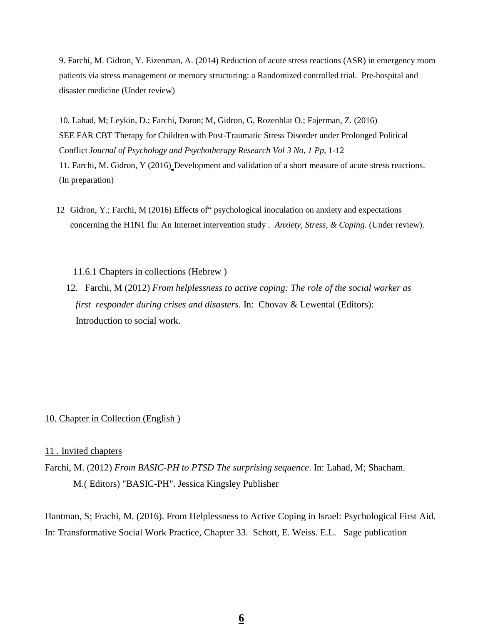9. Farchi, M. Gidron, Y. Eizenman, A. (2014) Reduction of acute stress reactions (ASR) in emergency room patients via stress management or memory structuring: a Randomized controlled trial. Pre-hospital and disaster medicine (Under review)

10. Lahad, M; Leykin, D.; Farchi, Doron; M, Gidron, G, Rozenblat O.; Fajerman, Z. (2016) SEE FAR CBT Therapy for Children with Post-Traumatic Stress Disorder under Prolonged Political Conflict *Journal of Psychology and Psychotherapy Research Vol 3 No, 1 Pp,* 1-12

11. Farchi, M. Gidron, Y (2016) Development and validation of a short measure of acute stress reactions. (In preparation)

12 Gidron, Y.; Farchi, M (2016) Effects of" psychological inoculation on anxiety and expectations concerning the H1N1 flu: An Internet intervention study . *Anxiety, Stress, & Coping.* (Under review).

11.6.1 Chapters in collections (Hebrew )

 12. Farchi, M (2012) *From helplessness to active coping: The role of the social worker as first responder during crises and disasters*. In: Chovav & Lewental (Editors): Introduction to social work.

### 10. Chapter in Collection (English )

#### 11 . Invited chapters

Farchi, M. (2012) *From BASIC-PH to PTSD The surprising sequence*. In: Lahad, M; Shacham. M.( Editors) "BASIC-PH". Jessica Kingsley Publisher

Hantman, S; Frachi, M. (2016). From Helplessness to Active Coping in Israel: Psychological First Aid. In: Transformative Social Work Practice, Chapter 33. Schott, E. Weiss. E.L. Sage publication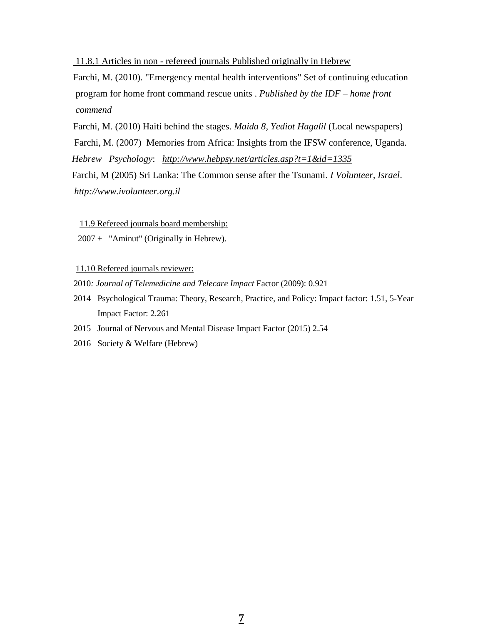### 11.8.1 Articles in non - refereed journals Published originally in Hebrew

Farchi, M. (2010). "Emergency mental health interventions" Set of continuing education program for home front command rescue units . *Published by the IDF – home front commend*

Farchi, M. (2010) Haiti behind the stages. *Maida 8, Yediot Hagalil* (Local newspapers) Farchi, M. (2007) Memories from Africa: Insights from the IFSW conference, Uganda.  *Hebrew Psychology*: *<http://www.hebpsy.net/articles.asp?t=1&id=1335>* Farchi, M (2005) Sri Lanka: The Common sense after the Tsunami. *I Volunteer, Israel*. *http://www.ivolunteer.org.il*

11.9 Refereed journals board membership:

2007 + "Aminut" (Originally in Hebrew).

11.10 Refereed journals reviewer:

- 2010*: Journal of Telemedicine and Telecare Impact* Factor (2009): 0.921
- 2014 Psychological Trauma: Theory, Research, Practice, and Policy: Impact factor: 1.51, 5-Year Impact Factor: 2.261
- 2015 Journal of Nervous and Mental Disease Impact Factor (2015) 2.54
- 2016 Society & Welfare (Hebrew)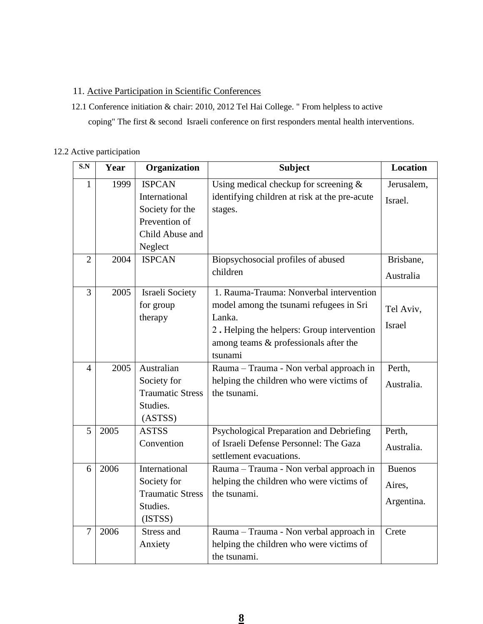## 11. Active Participation in Scientific Conferences

 12.1 Conference initiation & chair: 2010, 2012 Tel Hai College. " From helpless to active coping" The first & second Israeli conference on first responders mental health interventions.

## 12.2 Active participation

| S.N            | Year | Organization            | <b>Subject</b>                                | <b>Location</b> |
|----------------|------|-------------------------|-----------------------------------------------|-----------------|
| 1              | 1999 | <b>ISPCAN</b>           | Using medical checkup for screening $\&$      | Jerusalem,      |
|                |      | International           | identifying children at risk at the pre-acute | Israel.         |
|                |      | Society for the         | stages.                                       |                 |
|                |      | Prevention of           |                                               |                 |
|                |      | Child Abuse and         |                                               |                 |
|                |      | Neglect                 |                                               |                 |
| $\overline{2}$ | 2004 | <b>ISPCAN</b>           | Biopsychosocial profiles of abused            | Brisbane,       |
|                |      |                         | children                                      | Australia       |
| 3              | 2005 | Israeli Society         | 1. Rauma-Trauma: Nonverbal intervention       |                 |
|                |      | for group               | model among the tsunami refugees in Sri       | Tel Aviv,       |
|                |      | therapy                 | Lanka.                                        |                 |
|                |      |                         | 2. Helping the helpers: Group intervention    | <b>Israel</b>   |
|                |      |                         | among teams & professionals after the         |                 |
|                |      |                         | tsunami                                       |                 |
| $\overline{4}$ | 2005 | Australian              | Rauma - Trauma - Non verbal approach in       | Perth,          |
|                |      | Society for             | helping the children who were victims of      | Australia.      |
|                |      | <b>Traumatic Stress</b> | the tsunami.                                  |                 |
|                |      | Studies.                |                                               |                 |
|                |      | (ASTSS)                 |                                               |                 |
| 5              | 2005 | <b>ASTSS</b>            | Psychological Preparation and Debriefing      | Perth,          |
|                |      | Convention              | of Israeli Defense Personnel: The Gaza        | Australia.      |
|                |      |                         | settlement evacuations.                       |                 |
| 6              | 2006 | International           | Rauma - Trauma - Non verbal approach in       | <b>Buenos</b>   |
|                |      | Society for             | helping the children who were victims of      | Aires,          |
|                |      | <b>Traumatic Stress</b> | the tsunami.                                  | Argentina.      |
|                |      | Studies.                |                                               |                 |
|                |      | (ISTSS)                 |                                               |                 |
| $\overline{7}$ | 2006 | Stress and              | Rauma - Trauma - Non verbal approach in       | Crete           |
|                |      | Anxiety                 | helping the children who were victims of      |                 |
|                |      |                         | the tsunami.                                  |                 |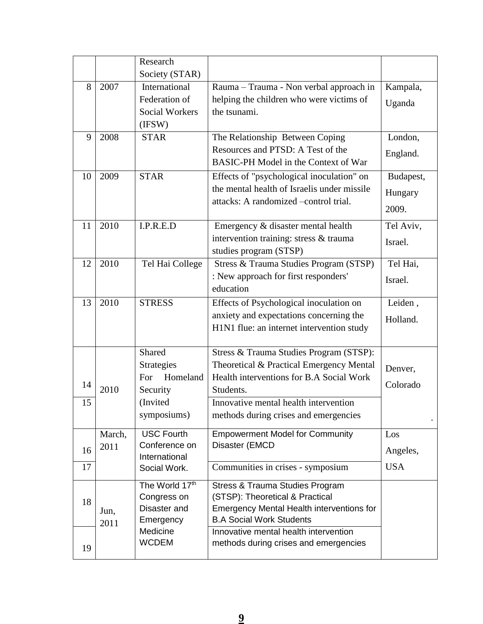|          |                | Research<br>Society (STAR)                                                            |                                                                                                                                                                                                                                |                               |
|----------|----------------|---------------------------------------------------------------------------------------|--------------------------------------------------------------------------------------------------------------------------------------------------------------------------------------------------------------------------------|-------------------------------|
| 8        | 2007           | International<br>Federation of<br><b>Social Workers</b><br>(IFSW)                     | Rauma - Trauma - Non verbal approach in<br>helping the children who were victims of<br>the tsunami.                                                                                                                            | Kampala,<br>Uganda            |
| 9        | 2008           | <b>STAR</b>                                                                           | The Relationship Between Coping<br>Resources and PTSD: A Test of the<br>BASIC-PH Model in the Context of War                                                                                                                   | London,<br>England.           |
| 10       | 2009           | <b>STAR</b>                                                                           | Effects of "psychological inoculation" on<br>the mental health of Israelis under missile<br>attacks: A randomized –control trial.                                                                                              | Budapest,<br>Hungary<br>2009. |
| 11       | 2010           | I.P.R.E.D                                                                             | Emergency & disaster mental health<br>intervention training: stress & trauma<br>studies program (STSP)                                                                                                                         | Tel Aviv,<br>Israel.          |
| 12       | 2010           | Tel Hai College                                                                       | Stress & Trauma Studies Program (STSP)<br>: New approach for first responders'<br>education                                                                                                                                    | Tel Hai,<br>Israel.           |
| 13       | 2010           | <b>STRESS</b>                                                                         | Effects of Psychological inoculation on<br>anxiety and expectations concerning the<br>H1N1 flue: an internet intervention study                                                                                                | Leiden,<br>Holland.           |
| 14<br>15 | 2010           | Shared<br><b>Strategies</b><br>Homeland<br>For<br>Security<br>(Invited<br>symposiums) | Stress & Trauma Studies Program (STSP):<br>Theoretical & Practical Emergency Mental<br>Health interventions for B.A Social Work<br>Students.<br>Innovative mental health intervention<br>methods during crises and emergencies | Denver,<br>Colorado           |
| 16       | March,<br>2011 | <b>USC Fourth</b><br>Conference on<br>International                                   | <b>Empowerment Model for Community</b><br>Disaster (EMCD                                                                                                                                                                       | Los<br>Angeles,<br><b>USA</b> |
| 17       |                | Social Work.<br>The World 17th                                                        | Communities in crises - symposium<br>Stress & Trauma Studies Program                                                                                                                                                           |                               |
| 18       | Jun,<br>2011   | Congress on<br>Disaster and<br>Emergency                                              | (STSP): Theoretical & Practical<br><b>Emergency Mental Health interventions for</b><br><b>B.A Social Work Students</b>                                                                                                         |                               |
| 19       |                | Medicine<br><b>WCDEM</b>                                                              | Innovative mental health intervention<br>methods during crises and emergencies                                                                                                                                                 |                               |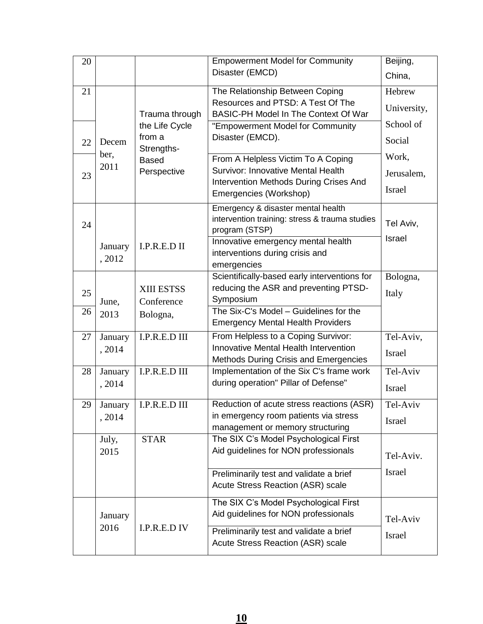| 20 |         |                      | <b>Empowerment Model for Community</b>                                               | Beijing,      |
|----|---------|----------------------|--------------------------------------------------------------------------------------|---------------|
|    |         |                      | Disaster (EMCD)                                                                      | China,        |
| 21 |         |                      | The Relationship Between Coping                                                      | Hebrew        |
|    |         | Trauma through       | Resources and PTSD: A Test Of The<br>BASIC-PH Model In The Context Of War            | University,   |
|    |         | the Life Cycle       | "Empowerment Model for Community                                                     | School of     |
| 22 | Decem   | from a<br>Strengths- | Disaster (EMCD).                                                                     | Social        |
|    | ber,    | <b>Based</b>         | From A Helpless Victim To A Coping                                                   | Work,         |
| 23 | 2011    | Perspective          | Survivor: Innovative Mental Health                                                   | Jerusalem,    |
|    |         |                      | Intervention Methods During Crises And<br>Emergencies (Workshop)                     | <b>Israel</b> |
|    |         |                      | Emergency & disaster mental health<br>intervention training: stress & trauma studies |               |
| 24 |         |                      | program (STSP)                                                                       | Tel Aviv,     |
|    | January | I.P.R.E.D II         | Innovative emergency mental health                                                   | Israel        |
|    | , 2012  |                      | interventions during crisis and                                                      |               |
|    |         |                      | emergencies                                                                          |               |
|    |         |                      | Scientifically-based early interventions for                                         | Bologna,      |
| 25 |         | XIII ESTSS           | reducing the ASR and preventing PTSD-                                                | Italy         |
| 26 | June,   | Conference           | Symposium<br>The Six-C's Model - Guidelines for the                                  |               |
|    | 2013    | Bologna,             | <b>Emergency Mental Health Providers</b>                                             |               |
| 27 | January | I.P.R.E.D III        | From Helpless to a Coping Survivor:                                                  | Tel-Aviv,     |
|    | , 2014  |                      | Innovative Mental Health Intervention                                                | <b>Israel</b> |
|    |         |                      | <b>Methods During Crisis and Emergencies</b>                                         |               |
| 28 | January | I.P.R.E.D III        | Implementation of the Six C's frame work<br>during operation" Pillar of Defense"     | Tel-Aviv      |
|    | , 2014  |                      |                                                                                      | Israel        |
| 29 | January | I.P.R.E.D III        | Reduction of acute stress reactions (ASR)                                            | Tel-Aviv      |
|    | , 2014  |                      | in emergency room patients via stress<br>management or memory structuring            | Israel        |
|    | July,   | <b>STAR</b>          | The SIX C's Model Psychological First                                                |               |
|    | 2015    |                      | Aid guidelines for NON professionals                                                 | Tel-Aviv.     |
|    |         |                      | Preliminarily test and validate a brief                                              | Israel        |
|    |         |                      | Acute Stress Reaction (ASR) scale                                                    |               |
|    |         |                      | The SIX C's Model Psychological First                                                |               |
|    | January |                      | Aid guidelines for NON professionals                                                 | Tel-Aviv      |
|    | 2016    | I.P.R.E.D IV         | Preliminarily test and validate a brief                                              | Israel        |
|    |         |                      | Acute Stress Reaction (ASR) scale                                                    |               |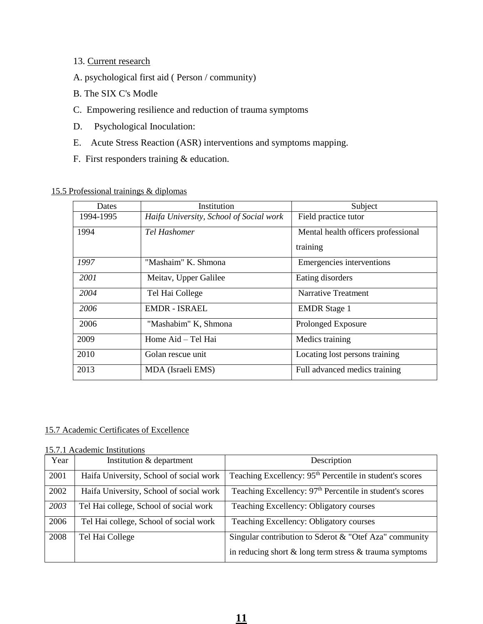- 13. Current research
- A. psychological first aid ( Person / community)
- B. The SIX C's Modle
- C. Empowering resilience and reduction of trauma symptoms
- D. Psychological Inoculation:
- E. Acute Stress Reaction (ASR) interventions and symptoms mapping.
- F. First responders training & education.

| Dates     | Institution                             | Subject                             |
|-----------|-----------------------------------------|-------------------------------------|
| 1994-1995 | Haifa University, School of Social work | Field practice tutor                |
| 1994      | Tel Hashomer                            | Mental health officers professional |
|           |                                         | training                            |
| 1997      | "Mashaim" K. Shmona                     | Emergencies interventions           |
| 2001      | Meitav, Upper Galilee                   | Eating disorders                    |
| 2004      | Tel Hai College                         | Narrative Treatment                 |
| 2006      | <b>EMDR - ISRAEL</b>                    | <b>EMDR</b> Stage 1                 |
| 2006      | "Mashabim" K, Shmona                    | Prolonged Exposure                  |
| 2009      | Home Aid – Tel Hai                      | Medics training                     |
| 2010      | Golan rescue unit                       | Locating lost persons training      |
| 2013      | MDA (Israeli EMS)                       | Full advanced medics training       |

### 15.5 Professional trainings & diplomas

### 15.7 Academic Certificates of Excellence

### 15.7.1 Academic Institutions

| Year | Institution & department                | Description                                                          |
|------|-----------------------------------------|----------------------------------------------------------------------|
| 2001 | Haifa University, School of social work | Teaching Excellency: 95 <sup>th</sup> Percentile in student's scores |
| 2002 | Haifa University, School of social work | Teaching Excellency: 97 <sup>th</sup> Percentile in student's scores |
| 2003 | Tel Hai college, School of social work  | Teaching Excellency: Obligatory courses                              |
| 2006 | Tel Hai college, School of social work  | Teaching Excellency: Obligatory courses                              |
| 2008 | Tel Hai College                         | Singular contribution to Sderot & "Otef Aza" community               |
|      |                                         | in reducing short $\&$ long term stress $\&$ trauma symptoms         |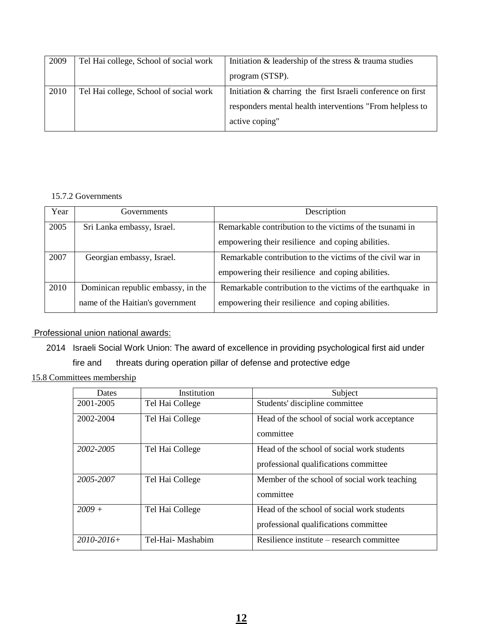| 2009 | Tel Hai college, School of social work | Initiation & leadership of the stress & trauma studies      |  |
|------|----------------------------------------|-------------------------------------------------------------|--|
|      |                                        | program (STSP).                                             |  |
| 2010 | Tel Hai college, School of social work | Initiation & charring the first Israeli conference on first |  |
|      |                                        | responders mental health interventions "From helpless to    |  |
|      |                                        | active coping"                                              |  |

### 15.7.2 Governments

| Year | <b>Governments</b>                 | Description                                                 |  |
|------|------------------------------------|-------------------------------------------------------------|--|
| 2005 | Sri Lanka embassy, Israel.         | Remarkable contribution to the victims of the tsunami in    |  |
|      |                                    | empowering their resilience and coping abilities.           |  |
| 2007 | Georgian embassy, Israel.          | Remarkable contribution to the victims of the civil war in  |  |
|      |                                    | empowering their resilience and coping abilities.           |  |
| 2010 | Dominican republic embassy, in the | Remarkable contribution to the victims of the earthquake in |  |
|      | name of the Haitian's government   | empowering their resilience and coping abilities.           |  |

# Professional union national awards:

2014 Israeli Social Work Union: The award of excellence in providing psychological first aid under

fire and threats during operation pillar of defense and protective edge

15.8 Committees membership

| Dates           | Institution       | Subject                                                                             |  |
|-----------------|-------------------|-------------------------------------------------------------------------------------|--|
| 2001-2005       | Tel Hai College   | Students' discipline committee                                                      |  |
| 2002-2004       | Tel Hai College   | Head of the school of social work acceptance<br>committee                           |  |
| 2002-2005       | Tel Hai College   | Head of the school of social work students<br>professional qualifications committee |  |
| 2005-2007       | Tel Hai College   | Member of the school of social work teaching<br>committee                           |  |
| $2009 +$        | Tel Hai College   | Head of the school of social work students<br>professional qualifications committee |  |
| $2010 - 2016 +$ | Tel-Hai- Mashabim | Resilience institute – research committee                                           |  |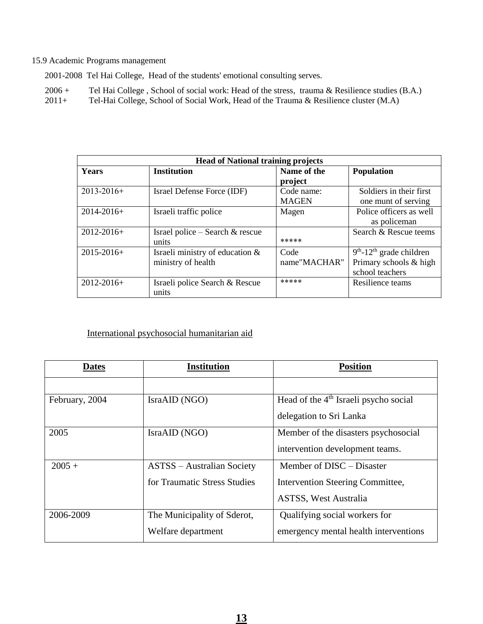#### 15.9 Academic Programs management

2001-2008 Tel Hai College, Head of the students' emotional consulting serves.

- 2006 + Tel Hai College, School of social work: Head of the stress, trauma & Resilience studies (B.A.)<br>2011 + Tel-Hai College, School of Social Work, Head of the Trauma & Resilience cluster (M.A)
- Tel-Hai College, School of Social Work, Head of the Trauma & Resilience cluster  $(M.A)$

| <b>Head of National training projects</b> |                                                       |                            |                                                                                     |  |
|-------------------------------------------|-------------------------------------------------------|----------------------------|-------------------------------------------------------------------------------------|--|
| <b>Years</b>                              | <b>Institution</b>                                    | Name of the<br>project     | <b>Population</b>                                                                   |  |
| $2013 - 2016 +$                           | Israel Defense Force (IDF)                            | Code name:<br><b>MAGEN</b> | Soldiers in their first<br>one munt of serving                                      |  |
| $2014 - 2016 +$                           | Israeli traffic police                                | Magen                      | Police officers as well<br>as policeman                                             |  |
| $2012 - 2016 +$                           | Israel police – Search $&$ rescue<br>units            | *****                      | Search & Rescue teems                                                               |  |
| $2015 - 2016 +$                           | Israeli ministry of education &<br>ministry of health | Code<br>name"MACHAR"       | $9th$ -12 <sup>th</sup> grade children<br>Primary schools & high<br>school teachers |  |
| $2012 - 2016 +$                           | Israeli police Search & Rescue<br>units               | *****                      | Resilience teams                                                                    |  |

# International psychosocial humanitarian aid

| <b>Dates</b>   | <b>Institution</b>                | <b>Position</b>                                   |
|----------------|-----------------------------------|---------------------------------------------------|
|                |                                   |                                                   |
| February, 2004 | IsraAID (NGO)                     | Head of the 4 <sup>th</sup> Israeli psycho social |
|                |                                   | delegation to Sri Lanka                           |
| 2005           | IsraAID (NGO)                     | Member of the disasters psychosocial              |
|                |                                   | intervention development teams.                   |
| $2005 +$       | <b>ASTSS</b> – Australian Society | Member of DISC – Disaster                         |
|                | for Traumatic Stress Studies      | Intervention Steering Committee,                  |
|                |                                   | <b>ASTSS, West Australia</b>                      |
| 2006-2009      | The Municipality of Sderot,       | Qualifying social workers for                     |
|                | Welfare department                | emergency mental health interventions             |